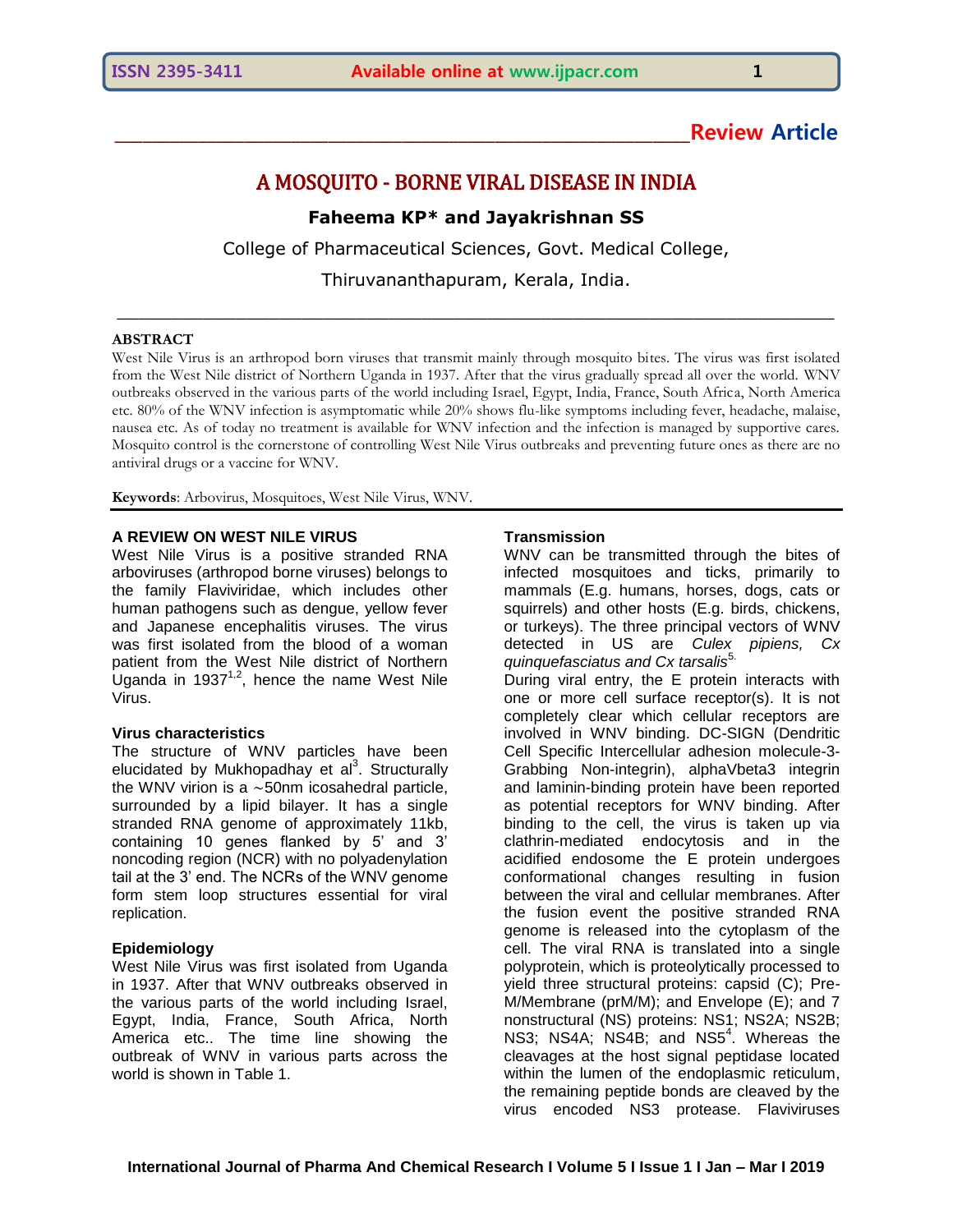# **\_\_\_\_\_\_\_\_\_\_\_\_\_\_\_\_\_\_\_\_\_\_\_\_\_\_\_\_\_\_\_\_\_\_\_\_\_\_\_\_\_\_\_\_\_\_\_\_\_\_\_\_\_\_\_\_\_\_\_\_\_\_Review Article**

## A MOSQUITO - BORNE VIRAL DISEASE IN INDIA

## **Faheema KP\* and Jayakrishnan SS**

College of Pharmaceutical Sciences, Govt. Medical College,

Thiruvananthapuram, Kerala, India. \_\_\_\_\_\_\_\_\_\_\_\_\_\_\_\_\_\_\_\_\_\_\_\_\_\_\_\_\_\_\_\_\_\_\_\_\_\_\_\_\_\_\_\_\_\_\_\_\_\_\_\_\_\_\_\_\_\_\_\_\_\_\_\_\_\_

#### **ABSTRACT**

West Nile Virus is an arthropod born viruses that transmit mainly through mosquito bites. The virus was first isolated from the West Nile district of Northern Uganda in 1937. After that the virus gradually spread all over the world. WNV outbreaks observed in the various parts of the world including Israel, Egypt, India, France, South Africa, North America etc. 80% of the WNV infection is asymptomatic while 20% shows flu-like symptoms including fever, headache, malaise, nausea etc. As of today no treatment is available for WNV infection and the infection is managed by supportive cares. Mosquito control is the cornerstone of controlling West Nile Virus outbreaks and preventing future ones as there are no antiviral drugs or a vaccine for WNV.

**Keywords**: Arbovirus, Mosquitoes, West Nile Virus, WNV.

### **A REVIEW ON WEST NILE VIRUS**

West Nile Virus is a positive stranded RNA arboviruses (arthropod borne viruses) belongs to the family Flaviviridae, which includes other human pathogens such as dengue, yellow fever and Japanese encephalitis viruses. The virus was first isolated from the blood of a woman patient from the West Nile district of Northern Uganda in 1937<sup>1,2</sup>, hence the name West Nile Virus.

## **Virus characteristics**

The structure of WNV particles have been elucidated by Mukhopadhay et al<sup>3</sup>. Structurally the WNV virion is a  $\sim$ 50nm icosahedral particle, surrounded by a lipid bilayer. It has a single stranded RNA genome of approximately 11kb, containing 10 genes flanked by 5' and 3' noncoding region (NCR) with no polyadenylation tail at the 3' end. The NCRs of the WNV genome form stem loop structures essential for viral replication.

### **Epidemiology**

West Nile Virus was first isolated from Uganda in 1937. After that WNV outbreaks observed in the various parts of the world including Israel, Egypt, India, France, South Africa, North America etc.. The time line showing the outbreak of WNV in various parts across the world is shown in Table 1.

#### **Transmission**

WNV can be transmitted through the bites of infected mosquitoes and ticks, primarily to mammals (E.g. humans, horses, dogs, cats or squirrels) and other hosts (E.g. birds, chickens, or turkeys). The three principal vectors of WNV detected in US are *Culex pipiens, Cx quinquefasciatus and Cx tarsalis<sup>5.</sup>* 

During viral entry, the E protein interacts with one or more cell surface receptor(s). It is not completely clear which cellular receptors are involved in WNV binding. DC-SIGN (Dendritic Cell Specific Intercellular adhesion molecule-3- Grabbing Non-integrin), alphaVbeta3 integrin and laminin-binding protein have been reported as potential receptors for WNV binding. After binding to the cell, the virus is taken up via clathrin-mediated endocytosis and in the acidified endosome the E protein undergoes conformational changes resulting in fusion between the viral and cellular membranes. After the fusion event the positive stranded RNA genome is released into the cytoplasm of the cell. The viral RNA is translated into a single polyprotein, which is proteolytically processed to yield three structural proteins: capsid (C); Pre-M/Membrane (prM/M); and Envelope (E); and 7 nonstructural (NS) proteins: NS1; NS2A; NS2B; NS3; NS4A; NS4B; and NS5<sup>4</sup>. Whereas the cleavages at the host signal peptidase located within the lumen of the endoplasmic reticulum, the remaining peptide bonds are cleaved by the virus encoded NS3 protease. Flaviviruses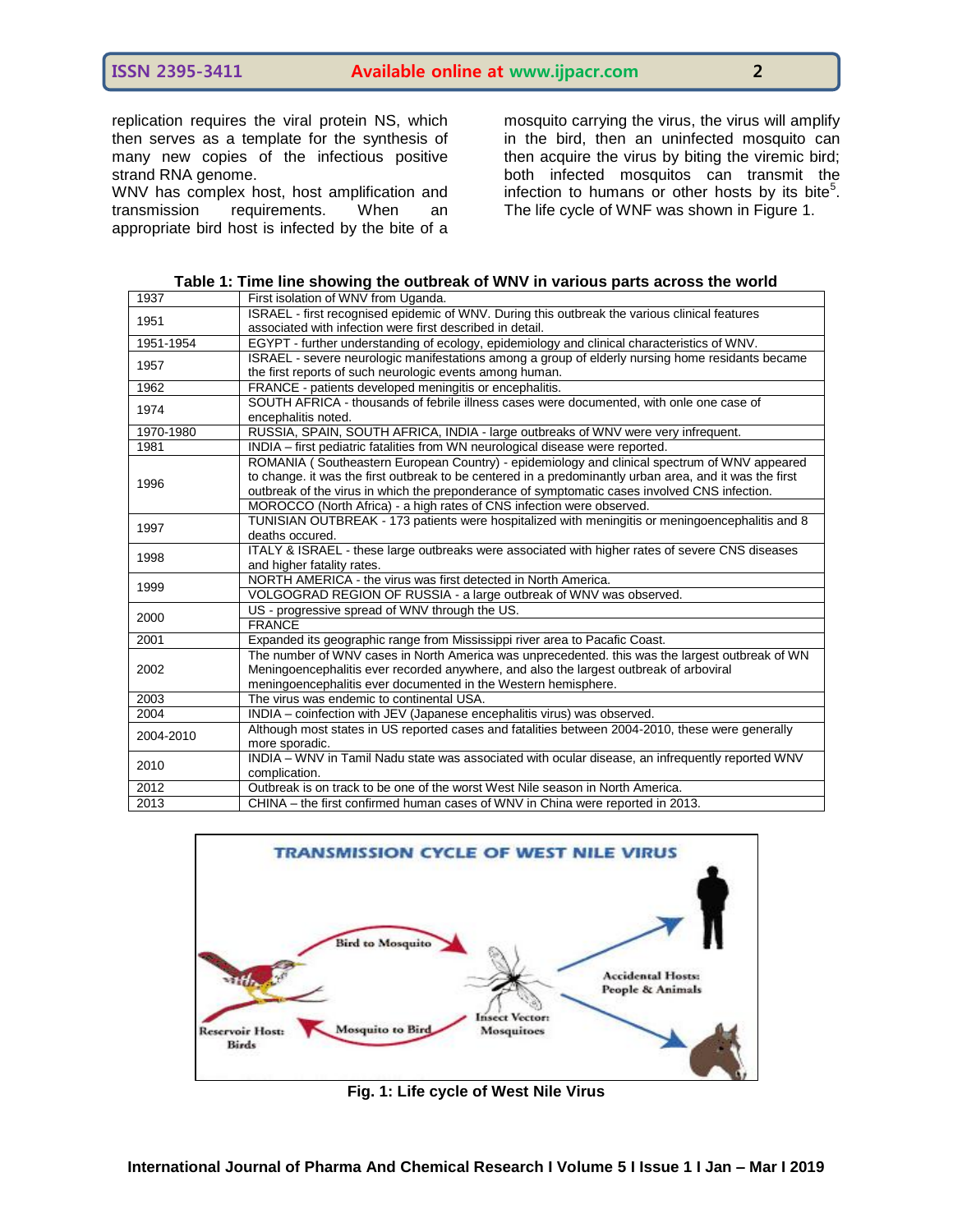replication requires the viral protein NS, which then serves as a template for the synthesis of many new copies of the infectious positive strand RNA genome.

WNV has complex host, host amplification and transmission requirements. When an appropriate bird host is infected by the bite of a

mosquito carrying the virus, the virus will amplify in the bird, then an uninfected mosquito can then acquire the virus by biting the viremic bird; both infected mosquitos can transmit the infection to humans or other hosts by its bite<sup>5</sup>. The life cycle of WNF was shown in Figure 1.

| 1937      | First isolation of WNV from Uganda.                                                                     |
|-----------|---------------------------------------------------------------------------------------------------------|
| 1951      | ISRAEL - first recognised epidemic of WNV. During this outbreak the various clinical features           |
|           | associated with infection were first described in detail.                                               |
| 1951-1954 | EGYPT - further understanding of ecology, epidemiology and clinical characteristics of WNV.             |
| 1957      | ISRAEL - severe neurologic manifestations among a group of elderly nursing home residants became        |
|           | the first reports of such neurologic events among human.                                                |
| 1962      | FRANCE - patients developed meningitis or encephalitis.                                                 |
| 1974      | SOUTH AFRICA - thousands of febrile illness cases were documented, with onle one case of                |
|           | encephalitis noted.                                                                                     |
| 1970-1980 | RUSSIA, SPAIN, SOUTH AFRICA, INDIA - large outbreaks of WNV were very infrequent.                       |
| 1981      | INDIA - first pediatric fatalities from WN neurological disease were reported.                          |
| 1996      | ROMANIA (Southeastern European Country) - epidemiology and clinical spectrum of WNV appeared            |
|           | to change, it was the first outbreak to be centered in a predominantly urban area, and it was the first |
|           | outbreak of the virus in which the preponderance of symptomatic cases involved CNS infection.           |
|           | MOROCCO (North Africa) - a high rates of CNS infection were observed.                                   |
| 1997      | TUNISIAN OUTBREAK - 173 patients were hospitalized with meningitis or meningoencephalitis and 8         |
|           | deaths occured.                                                                                         |
| 1998      | ITALY & ISRAEL - these large outbreaks were associated with higher rates of severe CNS diseases         |
|           | and higher fatality rates.                                                                              |
| 1999      | NORTH AMERICA - the virus was first detected in North America.                                          |
|           | VOLGOGRAD REGION OF RUSSIA - a large outbreak of WNV was observed.                                      |
| 2000      | US - progressive spread of WNV through the US.                                                          |
|           | <b>FRANCE</b>                                                                                           |
| 2001      | Expanded its geographic range from Mississippi river area to Pacafic Coast.                             |
| 2002      | The number of WNV cases in North America was unprecedented. this was the largest outbreak of WN         |
|           | Meningoencephalitis ever recorded anywhere, and also the largest outbreak of arboviral                  |
|           | meningoencephalitis ever documented in the Western hemisphere.                                          |
| 2003      | The virus was endemic to continental USA.                                                               |
| 2004      | INDIA - coinfection with JEV (Japanese encephalitis virus) was observed.                                |
| 2004-2010 | Although most states in US reported cases and fatalities between 2004-2010, these were generally        |
|           | more sporadic.                                                                                          |
| 2010      | INDIA - WNV in Tamil Nadu state was associated with ocular disease, an infrequently reported WNV        |
|           | complication.                                                                                           |
| 2012      | Outbreak is on track to be one of the worst West Nile season in North America.                          |
| 2013      | CHINA – the first confirmed human cases of WNV in China were reported in 2013.                          |
|           |                                                                                                         |



**Fig. 1: Life cycle of West Nile Virus**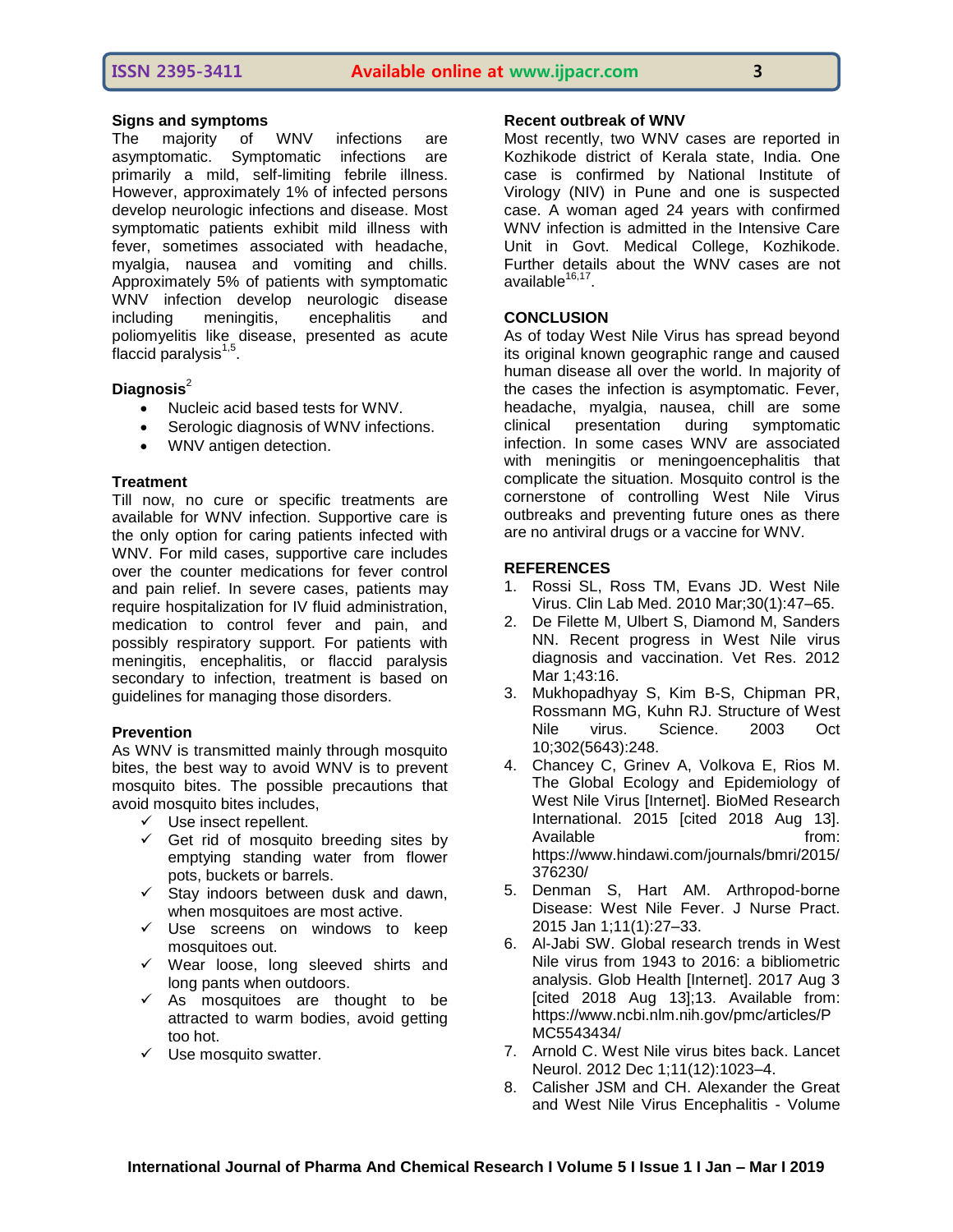## **Signs and symptoms**

The majority of WNV infections are asymptomatic. Symptomatic infections are primarily a mild, self-limiting febrile illness. However, approximately 1% of infected persons develop neurologic infections and disease. Most symptomatic patients exhibit mild illness with fever, sometimes associated with headache, myalgia, nausea and vomiting and chills. Approximately 5% of patients with symptomatic WNV infection develop neurologic disease including meningitis, encephalitis and poliomyelitis like disease, presented as acute .<br>flaccid paralysis<sup>1,5</sup>.

## **Diagnosis**<sup>2</sup>

- Nucleic acid based tests for WNV.
- Serologic diagnosis of WNV infections.
- WNV antigen detection.

## **Treatment**

Till now, no cure or specific treatments are available for WNV infection. Supportive care is the only option for caring patients infected with WNV. For mild cases, supportive care includes over the counter medications for fever control and pain relief. In severe cases, patients may require hospitalization for IV fluid administration, medication to control fever and pain, and possibly respiratory support. For patients with meningitis, encephalitis, or flaccid paralysis secondary to infection, treatment is based on guidelines for managing those disorders.

## **Prevention**

As WNV is transmitted mainly through mosquito bites, the best way to avoid WNV is to prevent mosquito bites. The possible precautions that avoid mosquito bites includes,

- $\checkmark$  Use insect repellent.
- $\checkmark$  Get rid of mosquito breeding sites by emptying standing water from flower pots, buckets or barrels.
- $\checkmark$  Stay indoors between dusk and dawn, when mosquitoes are most active.
- $\checkmark$  Use screens on windows to keep mosquitoes out.
- $\checkmark$  Wear loose, long sleeved shirts and long pants when outdoors.
- $\checkmark$  As mosquitoes are thought to be attracted to warm bodies, avoid getting too hot.
- $\checkmark$  Use mosquito swatter.

### **Recent outbreak of WNV**

Most recently, two WNV cases are reported in Kozhikode district of Kerala state, India. One case is confirmed by National Institute of Virology (NIV) in Pune and one is suspected case. A woman aged 24 years with confirmed WNV infection is admitted in the Intensive Care Unit in Govt. Medical College, Kozhikode. Further details about the WNV cases are not available<sup>16,17</sup>.

## **CONCLUSION**

As of today West Nile Virus has spread beyond its original known geographic range and caused human disease all over the world. In majority of the cases the infection is asymptomatic. Fever, headache, myalgia, nausea, chill are some clinical presentation during symptomatic infection. In some cases WNV are associated with meningitis or meningoencephalitis that complicate the situation. Mosquito control is the cornerstone of controlling West Nile Virus outbreaks and preventing future ones as there are no antiviral drugs or a vaccine for WNV.

## **REFERENCES**

- 1. Rossi SL, Ross TM, Evans JD. West Nile Virus. Clin Lab Med. 2010 Mar;30(1):47–65.
- 2. De Filette M, Ulbert S, Diamond M, Sanders NN. Recent progress in West Nile virus diagnosis and vaccination. Vet Res. 2012 Mar 1;43:16.
- 3. Mukhopadhyay S, Kim B-S, Chipman PR, Rossmann MG, Kuhn RJ. Structure of West Nile virus. Science. 2003 Oct 10;302(5643):248.
- 4. Chancey C, Grinev A, Volkova E, Rios M. The Global Ecology and Epidemiology of West Nile Virus [Internet]. BioMed Research International. 2015 [cited 2018 Aug 13]. Available from: https://www.hindawi.com/journals/bmri/2015/ 376230/
- 5. Denman S, Hart AM. Arthropod-borne Disease: West Nile Fever. J Nurse Pract. 2015 Jan 1;11(1):27–33.
- 6. Al-Jabi SW. Global research trends in West Nile virus from 1943 to 2016: a bibliometric analysis. Glob Health [Internet]. 2017 Aug 3 [cited 2018 Aug 13];13. Available from: https://www.ncbi.nlm.nih.gov/pmc/articles/P MC5543434/
- 7. Arnold C. West Nile virus bites back. Lancet Neurol. 2012 Dec 1;11(12):1023–4.
- 8. Calisher JSM and CH. Alexander the Great and West Nile Virus Encephalitis - Volume